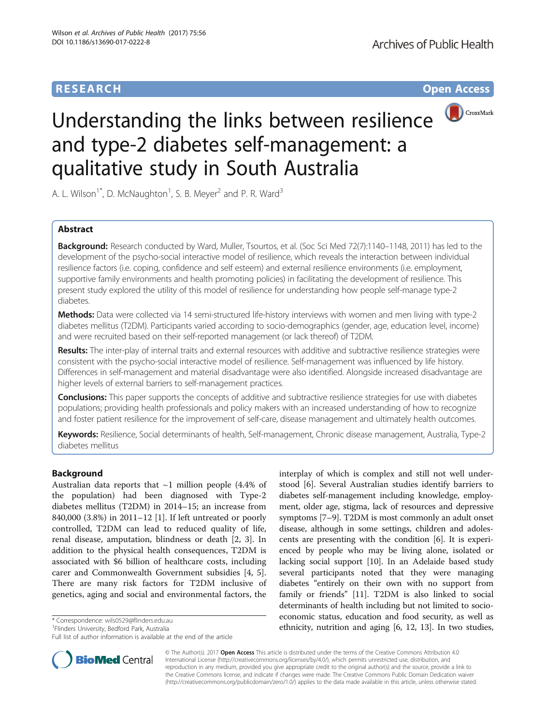# **RESEARCH RESEARCH** *CHECKER CHECKER CHECKER CHECKER CHECKER CHECKER CHECKER CHECKER CHECKER CHECKER CHECKER*



# Understanding the links between resilience and type-2 diabetes self-management: a qualitative study in South Australia

A. L. Wilson<sup>1\*</sup>, D. McNaughton<sup>1</sup>, S. B. Meyer<sup>2</sup> and P. R. Ward<sup>3</sup>

# Abstract

Background: Research conducted by Ward, Muller, Tsourtos, et al. (Soc Sci Med 72(7):1140–1148, 2011) has led to the development of the psycho-social interactive model of resilience, which reveals the interaction between individual resilience factors (i.e. coping, confidence and self esteem) and external resilience environments (i.e. employment, supportive family environments and health promoting policies) in facilitating the development of resilience. This present study explored the utility of this model of resilience for understanding how people self-manage type-2 diabetes.

Methods: Data were collected via 14 semi-structured life-history interviews with women and men living with type-2 diabetes mellitus (T2DM). Participants varied according to socio-demographics (gender, age, education level, income) and were recruited based on their self-reported management (or lack thereof) of T2DM.

Results: The inter-play of internal traits and external resources with additive and subtractive resilience strategies were consistent with the psycho-social interactive model of resilience. Self-management was influenced by life history. Differences in self-management and material disadvantage were also identified. Alongside increased disadvantage are higher levels of external barriers to self-management practices.

**Conclusions:** This paper supports the concepts of additive and subtractive resilience strategies for use with diabetes populations; providing health professionals and policy makers with an increased understanding of how to recognize and foster patient resilience for the improvement of self-care, disease management and ultimately health outcomes.

Keywords: Resilience, Social determinants of health, Self-management, Chronic disease management, Australia, Type-2 diabetes mellitus

# Background

Australian data reports that  $\sim$ 1 million people (4.4% of the population) had been diagnosed with Type-2 diabetes mellitus (T2DM) in 2014–15; an increase from 840,000 (3.8%) in 2011–12 [\[1\]](#page-11-0). If left untreated or poorly controlled, T2DM can lead to reduced quality of life, renal disease, amputation, blindness or death [[2, 3](#page-11-0)]. In addition to the physical health consequences, T2DM is associated with \$6 billion of healthcare costs, including carer and Commonwealth Government subsidies [\[4](#page-11-0), [5](#page-11-0)]. There are many risk factors for T2DM inclusive of genetics, aging and social and environmental factors, the

<sup>1</sup> Flinders University, Bedford Park, Australia

**BioMed Central** 

Full list of author information is available at the end of the article



© The Author(s). 2017 **Open Access** This article is distributed under the terms of the Creative Commons Attribution 4.0 International License [\(http://creativecommons.org/licenses/by/4.0/](http://creativecommons.org/licenses/by/4.0/)), which permits unrestricted use, distribution, and reproduction in any medium, provided you give appropriate credit to the original author(s) and the source, provide a link to the Creative Commons license, and indicate if changes were made. The Creative Commons Public Domain Dedication waiver [\(http://creativecommons.org/publicdomain/zero/1.0/](http://creativecommons.org/publicdomain/zero/1.0/)) applies to the data made available in this article, unless otherwise stated.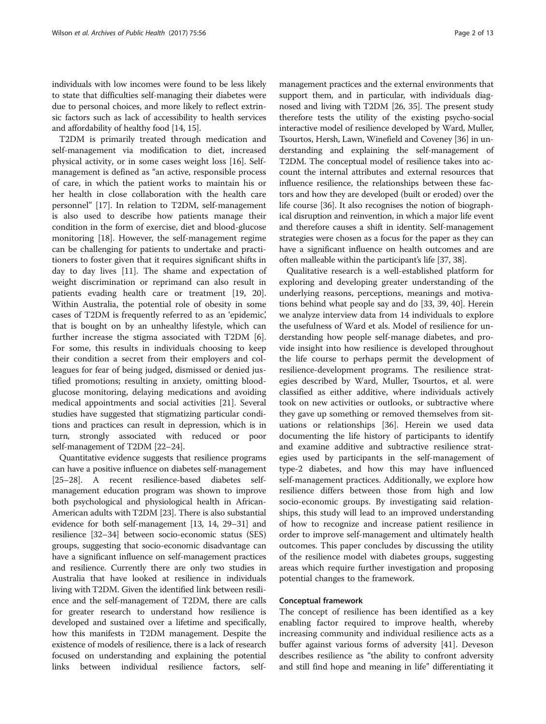individuals with low incomes were found to be less likely to state that difficulties self-managing their diabetes were due to personal choices, and more likely to reflect extrinsic factors such as lack of accessibility to health services and affordability of healthy food [\[14, 15](#page-11-0)].

T2DM is primarily treated through medication and self-management via modification to diet, increased physical activity, or in some cases weight loss [\[16](#page-11-0)]. Selfmanagement is defined as "an active, responsible process of care, in which the patient works to maintain his or her health in close collaboration with the health care personnel" [\[17](#page-11-0)]. In relation to T2DM, self-management is also used to describe how patients manage their condition in the form of exercise, diet and blood-glucose monitoring [[18\]](#page-11-0). However, the self-management regime can be challenging for patients to undertake and practitioners to foster given that it requires significant shifts in day to day lives [[11\]](#page-11-0). The shame and expectation of weight discrimination or reprimand can also result in patients evading health care or treatment [\[19](#page-11-0), [20](#page-11-0)]. Within Australia, the potential role of obesity in some cases of T2DM is frequently referred to as an 'epidemic', that is bought on by an unhealthy lifestyle, which can further increase the stigma associated with T2DM [\[6](#page-11-0)]. For some, this results in individuals choosing to keep their condition a secret from their employers and colleagues for fear of being judged, dismissed or denied justified promotions; resulting in anxiety, omitting bloodglucose monitoring, delaying medications and avoiding medical appointments and social activities [[21](#page-11-0)]. Several studies have suggested that stigmatizing particular conditions and practices can result in depression, which is in turn, strongly associated with reduced or poor self-management of T2DM [\[22](#page-11-0)–[24](#page-11-0)].

Quantitative evidence suggests that resilience programs can have a positive influence on diabetes self-management [[25](#page-11-0)–[28\]](#page-11-0). A recent resilience-based diabetes selfmanagement education program was shown to improve both psychological and physiological health in African-American adults with T2DM [\[23](#page-11-0)]. There is also substantial evidence for both self-management [[13](#page-11-0), [14](#page-11-0), [29](#page-11-0)–[31](#page-12-0)] and resilience [\[32](#page-12-0)–[34](#page-12-0)] between socio-economic status (SES) groups, suggesting that socio-economic disadvantage can have a significant influence on self-management practices and resilience. Currently there are only two studies in Australia that have looked at resilience in individuals living with T2DM. Given the identified link between resilience and the self-management of T2DM, there are calls for greater research to understand how resilience is developed and sustained over a lifetime and specifically, how this manifests in T2DM management. Despite the existence of models of resilience, there is a lack of research focused on understanding and explaining the potential links between individual resilience factors, self-

management practices and the external environments that support them, and in particular, with individuals diagnosed and living with T2DM [\[26](#page-11-0), [35](#page-12-0)]. The present study therefore tests the utility of the existing psycho-social interactive model of resilience developed by Ward, Muller, Tsourtos, Hersh, Lawn, Winefield and Coveney [[36](#page-12-0)] in understanding and explaining the self-management of T2DM. The conceptual model of resilience takes into account the internal attributes and external resources that influence resilience, the relationships between these factors and how they are developed (built or eroded) over the life course [\[36](#page-12-0)]. It also recognises the notion of biographical disruption and reinvention, in which a major life event and therefore causes a shift in identity. Self-management strategies were chosen as a focus for the paper as they can have a significant influence on health outcomes and are often malleable within the participant's life [\[37, 38](#page-12-0)].

Qualitative research is a well-established platform for exploring and developing greater understanding of the underlying reasons, perceptions, meanings and motivations behind what people say and do [\[33, 39](#page-12-0), [40](#page-12-0)]. Herein we analyze interview data from 14 individuals to explore the usefulness of Ward et als. Model of resilience for understanding how people self-manage diabetes, and provide insight into how resilience is developed throughout the life course to perhaps permit the development of resilience-development programs. The resilience strategies described by Ward, Muller, Tsourtos, et al. were classified as either additive, where individuals actively took on new activities or outlooks, or subtractive where they gave up something or removed themselves from situations or relationships [[36\]](#page-12-0). Herein we used data documenting the life history of participants to identify and examine additive and subtractive resilience strategies used by participants in the self-management of type-2 diabetes, and how this may have influenced self-management practices. Additionally, we explore how resilience differs between those from high and low socio-economic groups. By investigating said relationships, this study will lead to an improved understanding of how to recognize and increase patient resilience in order to improve self-management and ultimately health outcomes. This paper concludes by discussing the utility of the resilience model with diabetes groups, suggesting areas which require further investigation and proposing potential changes to the framework.

## Conceptual framework

The concept of resilience has been identified as a key enabling factor required to improve health, whereby increasing community and individual resilience acts as a buffer against various forms of adversity [\[41\]](#page-12-0). Deveson describes resilience as "the ability to confront adversity and still find hope and meaning in life" differentiating it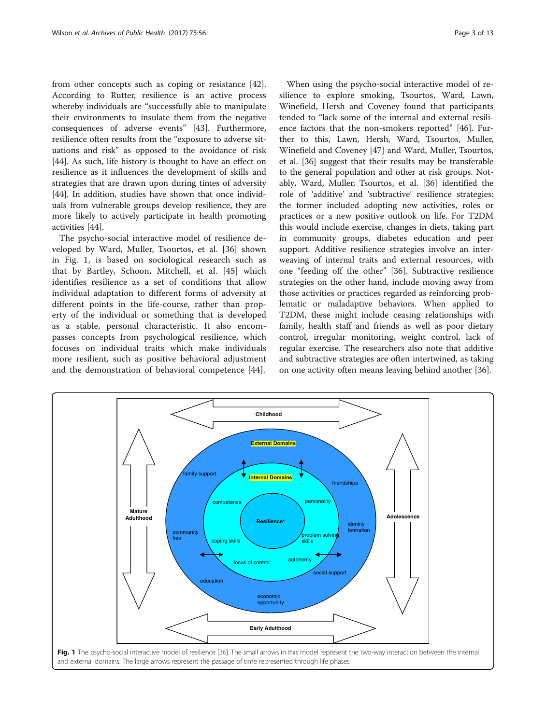from other concepts such as coping or resistance [\[42](#page-12-0)]. According to Rutter, resilience is an active process whereby individuals are "successfully able to manipulate their environments to insulate them from the negative consequences of adverse events" [[43\]](#page-12-0). Furthermore, resilience often results from the "exposure to adverse situations and risk" as opposed to the avoidance of risk [[44\]](#page-12-0). As such, life history is thought to have an effect on resilience as it influences the development of skills and strategies that are drawn upon during times of adversity [[44\]](#page-12-0). In addition, studies have shown that once individuals from vulnerable groups develop resilience, they are more likely to actively participate in health promoting activities [\[44](#page-12-0)].

The psycho-social interactive model of resilience developed by Ward, Muller, Tsourtos, et al. [[36\]](#page-12-0) shown in Fig. 1, is based on sociological research such as that by Bartley, Schoon, Mitchell, et al. [[45\]](#page-12-0) which identifies resilience as a set of conditions that allow individual adaptation to different forms of adversity at different points in the life-course, rather than property of the individual or something that is developed as a stable, personal characteristic. It also encompasses concepts from psychological resilience, which focuses on individual traits which make individuals more resilient, such as positive behavioral adjustment and the demonstration of behavioral competence [[44](#page-12-0)].

When using the psycho-social interactive model of resilience to explore smoking, Tsourtos, Ward, Lawn, Winefield, Hersh and Coveney found that participants tended to "lack some of the internal and external resilience factors that the non-smokers reported" [[46](#page-12-0)]. Further to this, Lawn, Hersh, Ward, Tsourtos, Muller, Winefield and Coveney [[47](#page-12-0)] and Ward, Muller, Tsourtos, et al. [\[36](#page-12-0)] suggest that their results may be transferable to the general population and other at risk groups. Notably, Ward, Muller, Tsourtos, et al. [[36](#page-12-0)] identified the role of 'additive' and 'subtractive' resilience strategies: the former included adopting new activities, roles or practices or a new positive outlook on life. For T2DM this would include exercise, changes in diets, taking part in community groups, diabetes education and peer support. Additive resilience strategies involve an interweaving of internal traits and external resources, with one "feeding off the other" [[36](#page-12-0)]. Subtractive resilience strategies on the other hand, include moving away from those activities or practices regarded as reinforcing problematic or maladaptive behaviors. When applied to T2DM, these might include ceasing relationships with family, health staff and friends as well as poor dietary control, irregular monitoring, weight control, lack of regular exercise. The researchers also note that additive and subtractive strategies are often intertwined, as taking on one activity often means leaving behind another [\[36\]](#page-12-0).

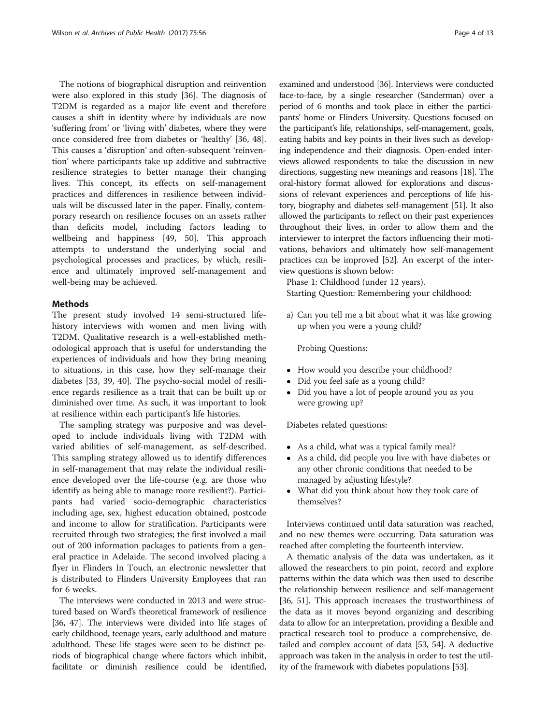The notions of biographical disruption and reinvention were also explored in this study [[36\]](#page-12-0). The diagnosis of T2DM is regarded as a major life event and therefore causes a shift in identity where by individuals are now 'suffering from' or 'living with' diabetes, where they were once considered free from diabetes or 'healthy' [[36, 48](#page-12-0)]. This causes a 'disruption' and often-subsequent 'reinvention' where participants take up additive and subtractive resilience strategies to better manage their changing lives. This concept, its effects on self-management practices and differences in resilience between individuals will be discussed later in the paper. Finally, contemporary research on resilience focuses on an assets rather than deficits model, including factors leading to wellbeing and happiness [[49](#page-12-0), [50](#page-12-0)]. This approach attempts to understand the underlying social and psychological processes and practices, by which, resilience and ultimately improved self-management and well-being may be achieved.

## Methods

The present study involved 14 semi-structured lifehistory interviews with women and men living with T2DM. Qualitative research is a well-established methodological approach that is useful for understanding the experiences of individuals and how they bring meaning to situations, in this case, how they self-manage their diabetes [[33, 39, 40](#page-12-0)]. The psycho-social model of resilience regards resilience as a trait that can be built up or diminished over time. As such, it was important to look at resilience within each participant's life histories.

The sampling strategy was purposive and was developed to include individuals living with T2DM with varied abilities of self-management, as self-described. This sampling strategy allowed us to identify differences in self-management that may relate the individual resilience developed over the life-course (e.g. are those who identify as being able to manage more resilient?). Participants had varied socio-demographic characteristics including age, sex, highest education obtained, postcode and income to allow for stratification. Participants were recruited through two strategies; the first involved a mail out of 200 information packages to patients from a general practice in Adelaide. The second involved placing a flyer in Flinders In Touch, an electronic newsletter that is distributed to Flinders University Employees that ran for 6 weeks.

The interviews were conducted in 2013 and were structured based on Ward's theoretical framework of resilience [[36](#page-12-0), [47\]](#page-12-0). The interviews were divided into life stages of early childhood, teenage years, early adulthood and mature adulthood. These life stages were seen to be distinct periods of biographical change where factors which inhibit, facilitate or diminish resilience could be identified, examined and understood [\[36\]](#page-12-0). Interviews were conducted face-to-face, by a single researcher (Sanderman) over a period of 6 months and took place in either the participants' home or Flinders University. Questions focused on the participant's life, relationships, self-management, goals, eating habits and key points in their lives such as developing independence and their diagnosis. Open-ended interviews allowed respondents to take the discussion in new directions, suggesting new meanings and reasons [\[18\]](#page-11-0). The oral-history format allowed for explorations and discussions of relevant experiences and perceptions of life history, biography and diabetes self-management [[51](#page-12-0)]. It also allowed the participants to reflect on their past experiences throughout their lives, in order to allow them and the interviewer to interpret the factors influencing their motivations, behaviors and ultimately how self-management practices can be improved [\[52\]](#page-12-0). An excerpt of the interview questions is shown below:

Phase 1: Childhood (under 12 years). Starting Question: Remembering your childhood:

a) Can you tell me a bit about what it was like growing up when you were a young child?

Probing Questions:

- How would you describe your childhood?
- Did you feel safe as a young child?
- Did you have a lot of people around you as you were growing up?

Diabetes related questions:

- As a child, what was a typical family meal?
- As a child, did people you live with have diabetes or any other chronic conditions that needed to be managed by adjusting lifestyle?
- What did you think about how they took care of themselves?

Interviews continued until data saturation was reached, and no new themes were occurring. Data saturation was reached after completing the fourteenth interview.

A thematic analysis of the data was undertaken, as it allowed the researchers to pin point, record and explore patterns within the data which was then used to describe the relationship between resilience and self-management [[36](#page-12-0), [51\]](#page-12-0). This approach increases the trustworthiness of the data as it moves beyond organizing and describing data to allow for an interpretation, providing a flexible and practical research tool to produce a comprehensive, detailed and complex account of data [\[53, 54\]](#page-12-0). A deductive approach was taken in the analysis in order to test the utility of the framework with diabetes populations [[53](#page-12-0)].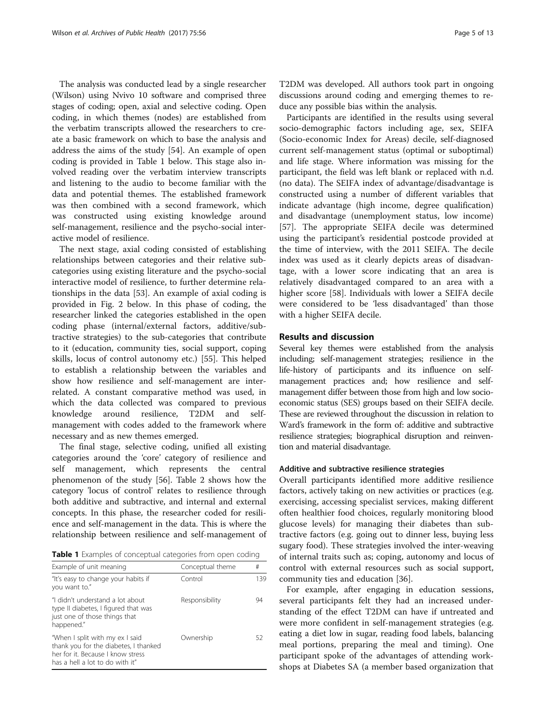The analysis was conducted lead by a single researcher (Wilson) using Nvivo 10 software and comprised three stages of coding; open, axial and selective coding. Open coding, in which themes (nodes) are established from the verbatim transcripts allowed the researchers to create a basic framework on which to base the analysis and address the aims of the study [[54](#page-12-0)]. An example of open coding is provided in Table 1 below. This stage also involved reading over the verbatim interview transcripts and listening to the audio to become familiar with the data and potential themes. The established framework was then combined with a second framework, which was constructed using existing knowledge around self-management, resilience and the psycho-social interactive model of resilience.

The next stage, axial coding consisted of establishing relationships between categories and their relative subcategories using existing literature and the psycho-social interactive model of resilience, to further determine relationships in the data [\[53](#page-12-0)]. An example of axial coding is provided in Fig. [2](#page-5-0) below. In this phase of coding, the researcher linked the categories established in the open coding phase (internal/external factors, additive/subtractive strategies) to the sub-categories that contribute to it (education, community ties, social support, coping skills, locus of control autonomy etc.) [[55](#page-12-0)]. This helped to establish a relationship between the variables and show how resilience and self-management are interrelated. A constant comparative method was used, in which the data collected was compared to previous knowledge around resilience, T2DM and selfmanagement with codes added to the framework where necessary and as new themes emerged.

The final stage, selective coding, unified all existing categories around the 'core' category of resilience and self management, which represents the central phenomenon of the study [[56\]](#page-12-0). Table [2](#page-5-0) shows how the category 'locus of control' relates to resilience through both additive and subtractive, and internal and external concepts. In this phase, the researcher coded for resilience and self-management in the data. This is where the relationship between resilience and self-management of

Table 1 Examples of conceptual categories from open coding

| Example of unit meaning                                                                                                                          | Conceptual theme | #   |  |  |
|--------------------------------------------------------------------------------------------------------------------------------------------------|------------------|-----|--|--|
| "It's easy to change your habits if<br>you want to."                                                                                             | Control          | 139 |  |  |
| "I didn't understand a lot about<br>type II diabetes, I figured that was<br>just one of those things that<br>happened."                          | Responsibility   | 94  |  |  |
| "When I split with my ex I said<br>thank you for the diabetes, I thanked<br>her for it. Because I know stress<br>has a hell a lot to do with it" | Ownership        | 52  |  |  |
|                                                                                                                                                  |                  |     |  |  |

T2DM was developed. All authors took part in ongoing discussions around coding and emerging themes to reduce any possible bias within the analysis.

Participants are identified in the results using several socio-demographic factors including age, sex, SEIFA (Socio-economic Index for Areas) decile, self-diagnosed current self-management status (optimal or suboptimal) and life stage. Where information was missing for the participant, the field was left blank or replaced with n.d. (no data). The SEIFA index of advantage/disadvantage is constructed using a number of different variables that indicate advantage (high income, degree qualification) and disadvantage (unemployment status, low income) [[57\]](#page-12-0). The appropriate SEIFA decile was determined using the participant's residential postcode provided at the time of interview, with the 2011 SEIFA. The decile index was used as it clearly depicts areas of disadvantage, with a lower score indicating that an area is relatively disadvantaged compared to an area with a higher score [[58](#page-12-0)]. Individuals with lower a SEIFA decile were considered to be 'less disadvantaged' than those with a higher SEIFA decile.

# Results and discussion

Several key themes were established from the analysis including; self-management strategies; resilience in the life-history of participants and its influence on selfmanagement practices and; how resilience and selfmanagement differ between those from high and low socioeconomic status (SES) groups based on their SEIFA decile. These are reviewed throughout the discussion in relation to Ward's framework in the form of: additive and subtractive resilience strategies; biographical disruption and reinvention and material disadvantage.

# Additive and subtractive resilience strategies

Overall participants identified more additive resilience factors, actively taking on new activities or practices (e.g. exercising, accessing specialist services, making different often healthier food choices, regularly monitoring blood glucose levels) for managing their diabetes than subtractive factors (e.g. going out to dinner less, buying less sugary food). These strategies involved the inter-weaving of internal traits such as; coping, autonomy and locus of control with external resources such as social support, community ties and education [\[36](#page-12-0)].

For example, after engaging in education sessions, several participants felt they had an increased understanding of the effect T2DM can have if untreated and were more confident in self-management strategies (e.g. eating a diet low in sugar, reading food labels, balancing meal portions, preparing the meal and timing). One participant spoke of the advantages of attending workshops at Diabetes SA (a member based organization that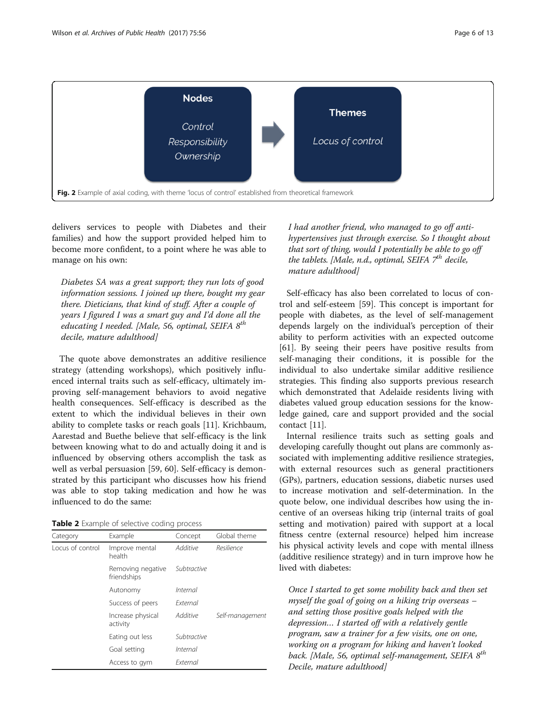<span id="page-5-0"></span>

delivers services to people with Diabetes and their families) and how the support provided helped him to become more confident, to a point where he was able to manage on his own:

Diabetes SA was a great support; they run lots of good information sessions. I joined up there, bought my gear there. Dieticians, that kind of stuff. After a couple of years I figured I was a smart guy and I'd done all the educating I needed. [Male, 56, optimal, SEIFA  $8^{th}$ decile, mature adulthood]

The quote above demonstrates an additive resilience strategy (attending workshops), which positively influenced internal traits such as self-efficacy, ultimately improving self-management behaviors to avoid negative health consequences. Self-efficacy is described as the extent to which the individual believes in their own ability to complete tasks or reach goals [[11](#page-11-0)]. Krichbaum, Aarestad and Buethe believe that self-efficacy is the link between knowing what to do and actually doing it and is influenced by observing others accomplish the task as well as verbal persuasion [[59, 60](#page-12-0)]. Self-efficacy is demonstrated by this participant who discusses how his friend was able to stop taking medication and how he was influenced to do the same:

Table 2 Example of selective coding process

| Category         | Example                          | Concept     | Global theme    |
|------------------|----------------------------------|-------------|-----------------|
| Locus of control | Improve mental<br>health         | Additive    | Resilience      |
|                  | Removing negative<br>friendships | Subtractive |                 |
|                  | Autonomy                         | Internal    |                 |
|                  | Success of peers                 | Fxternal    |                 |
|                  | Increase physical<br>activity    | Additive    | Self-management |
|                  | Eating out less                  | Subtractive |                 |
|                  | Goal setting                     | Internal    |                 |
|                  | Access to gym                    | Fxternal    |                 |

I had another friend, who managed to go off antihypertensives just through exercise. So I thought about that sort of thing, would I potentially be able to go off the tablets. [Male, n.d., optimal, SEIFA  $7<sup>th</sup>$  decile, mature adulthood]

Self-efficacy has also been correlated to locus of control and self-esteem [[59\]](#page-12-0). This concept is important for people with diabetes, as the level of self-management depends largely on the individual's perception of their ability to perform activities with an expected outcome [[61\]](#page-12-0). By seeing their peers have positive results from self-managing their conditions, it is possible for the individual to also undertake similar additive resilience strategies. This finding also supports previous research which demonstrated that Adelaide residents living with diabetes valued group education sessions for the knowledge gained, care and support provided and the social contact [[11\]](#page-11-0).

Internal resilience traits such as setting goals and developing carefully thought out plans are commonly associated with implementing additive resilience strategies, with external resources such as general practitioners (GPs), partners, education sessions, diabetic nurses used to increase motivation and self-determination. In the quote below, one individual describes how using the incentive of an overseas hiking trip (internal traits of goal setting and motivation) paired with support at a local fitness centre (external resource) helped him increase his physical activity levels and cope with mental illness (additive resilience strategy) and in turn improve how he lived with diabetes:

Once I started to get some mobility back and then set myself the goal of going on a hiking trip overseas – and setting those positive goals helped with the depression… I started off with a relatively gentle program, saw a trainer for a few visits, one on one, working on a program for hiking and haven't looked back. [Male, 56, optimal self-management, SEIFA  $8^{th}$ Decile, mature adulthood]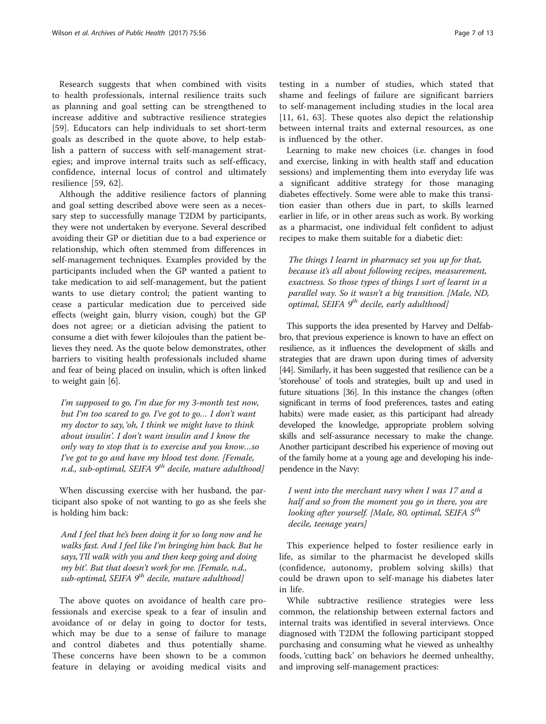Research suggests that when combined with visits to health professionals, internal resilience traits such as planning and goal setting can be strengthened to increase additive and subtractive resilience strategies [[59\]](#page-12-0). Educators can help individuals to set short-term goals as described in the quote above, to help establish a pattern of success with self-management strategies; and improve internal traits such as self-efficacy, confidence, internal locus of control and ultimately resilience [[59, 62](#page-12-0)].

Although the additive resilience factors of planning and goal setting described above were seen as a necessary step to successfully manage T2DM by participants, they were not undertaken by everyone. Several described avoiding their GP or dietitian due to a bad experience or relationship, which often stemmed from differences in self-management techniques. Examples provided by the participants included when the GP wanted a patient to take medication to aid self-management, but the patient wants to use dietary control; the patient wanting to cease a particular medication due to perceived side effects (weight gain, blurry vision, cough) but the GP does not agree; or a dietician advising the patient to consume a diet with fewer kilojoules than the patient believes they need. As the quote below demonstrates, other barriers to visiting health professionals included shame and fear of being placed on insulin, which is often linked to weight gain [\[6\]](#page-11-0).

I'm supposed to go, I'm due for my 3-month test now, but I'm too scared to go. I've got to go… I don't want my doctor to say, 'oh, I think we might have to think about insulin'. I don't want insulin and I know the only way to stop that is to exercise and you know…so I've got to go and have my blood test done. [Female, n.d., sub-optimal, SEIFA  $9<sup>th</sup>$  decile, mature adulthood]

When discussing exercise with her husband, the participant also spoke of not wanting to go as she feels she is holding him back:

And I feel that he's been doing it for so long now and he walks fast. And I feel like I'm bringing him back. But he says, Tll walk with you and then keep going and doing my bit'. But that doesn't work for me. [Female, n.d., sub-optimal, SEIFA  $9^{th}$  decile, mature adulthood]

The above quotes on avoidance of health care professionals and exercise speak to a fear of insulin and avoidance of or delay in going to doctor for tests, which may be due to a sense of failure to manage and control diabetes and thus potentially shame. These concerns have been shown to be a common feature in delaying or avoiding medical visits and testing in a number of studies, which stated that shame and feelings of failure are significant barriers to self-management including studies in the local area [[11,](#page-11-0) [61](#page-12-0), [63](#page-12-0)]. These quotes also depict the relationship between internal traits and external resources, as one is influenced by the other.

Learning to make new choices (i.e. changes in food and exercise, linking in with health staff and education sessions) and implementing them into everyday life was a significant additive strategy for those managing diabetes effectively. Some were able to make this transition easier than others due in part, to skills learned earlier in life, or in other areas such as work. By working as a pharmacist, one individual felt confident to adjust recipes to make them suitable for a diabetic diet:

The things I learnt in pharmacy set you up for that, because it's all about following recipes, measurement, exactness. So those types of things I sort of learnt in a parallel way. So it wasn't a big transition. [Male, ND, optimal, SEIFA  $9<sup>th</sup>$  decile, early adulthood]

This supports the idea presented by Harvey and Delfabbro, that previous experience is known to have an effect on resilience, as it influences the development of skills and strategies that are drawn upon during times of adversity [[44](#page-12-0)]. Similarly, it has been suggested that resilience can be a 'storehouse' of tools and strategies, built up and used in future situations [\[36\]](#page-12-0). In this instance the changes (often significant in terms of food preferences, tastes and eating habits) were made easier, as this participant had already developed the knowledge, appropriate problem solving skills and self-assurance necessary to make the change. Another participant described his experience of moving out of the family home at a young age and developing his independence in the Navy:

I went into the merchant navy when I was 17 and a half and so from the moment you go in there, you are looking after yourself. [Male, 80, optimal, SEIFA 5<sup>th</sup> decile, teenage years]

This experience helped to foster resilience early in life, as similar to the pharmacist he developed skills (confidence, autonomy, problem solving skills) that could be drawn upon to self-manage his diabetes later in life.

While subtractive resilience strategies were less common, the relationship between external factors and internal traits was identified in several interviews. Once diagnosed with T2DM the following participant stopped purchasing and consuming what he viewed as unhealthy foods, 'cutting back' on behaviors he deemed unhealthy, and improving self-management practices: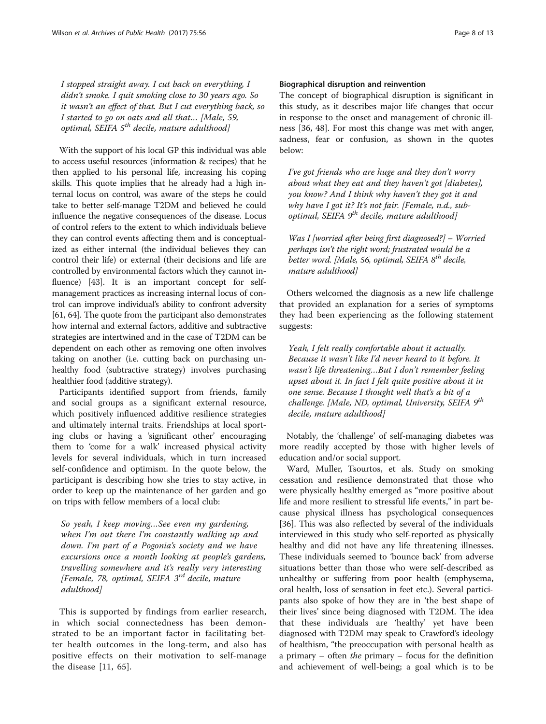I stopped straight away. I cut back on everything, I didn't smoke. I quit smoking close to 30 years ago. So it wasn't an effect of that. But I cut everything back, so I started to go on oats and all that… [Male, 59, optimal, SEIFA  $5<sup>th</sup>$  decile, mature adulthood]

With the support of his local GP this individual was able to access useful resources (information & recipes) that he then applied to his personal life, increasing his coping skills. This quote implies that he already had a high internal locus on control, was aware of the steps he could take to better self-manage T2DM and believed he could influence the negative consequences of the disease. Locus of control refers to the extent to which individuals believe they can control events affecting them and is conceptualized as either internal (the individual believes they can control their life) or external (their decisions and life are controlled by environmental factors which they cannot in-fluence) [\[43](#page-12-0)]. It is an important concept for selfmanagement practices as increasing internal locus of control can improve individual's ability to confront adversity [[61](#page-12-0), [64\]](#page-12-0). The quote from the participant also demonstrates how internal and external factors, additive and subtractive strategies are intertwined and in the case of T2DM can be dependent on each other as removing one often involves taking on another (i.e. cutting back on purchasing unhealthy food (subtractive strategy) involves purchasing healthier food (additive strategy).

Participants identified support from friends, family and social groups as a significant external resource, which positively influenced additive resilience strategies and ultimately internal traits. Friendships at local sporting clubs or having a 'significant other' encouraging them to 'come for a walk' increased physical activity levels for several individuals, which in turn increased self-confidence and optimism. In the quote below, the participant is describing how she tries to stay active, in order to keep up the maintenance of her garden and go on trips with fellow members of a local club:

So yeah, I keep moving…See even my gardening, when I'm out there I'm constantly walking up and down. I'm part of a Pogonia's society and we have excursions once a month looking at people's gardens, travelling somewhere and it's really very interesting [Female, 78, optimal, SEIFA  $3^{rd}$  decile, mature adulthood]

This is supported by findings from earlier research, in which social connectedness has been demonstrated to be an important factor in facilitating better health outcomes in the long-term, and also has positive effects on their motivation to self-manage the disease [\[11](#page-11-0), [65](#page-12-0)].

# Biographical disruption and reinvention

The concept of biographical disruption is significant in this study, as it describes major life changes that occur in response to the onset and management of chronic illness [[36, 48](#page-12-0)]. For most this change was met with anger, sadness, fear or confusion, as shown in the quotes below:

I've got friends who are huge and they don't worry about what they eat and they haven't got [diabetes], you know? And I think why haven't they got it and why have I got it? It's not fair. [Female, n.d., suboptimal, SEIFA  $9<sup>th</sup>$  decile, mature adulthood]

Was I [worried after being first diagnosed?] – Worried perhaps isn't the right word; frustrated would be a better word. [Male, 56, optimal, SEIFA 8<sup>th</sup> decile, mature adulthood]

Others welcomed the diagnosis as a new life challenge that provided an explanation for a series of symptoms they had been experiencing as the following statement suggests:

Yeah, I felt really comfortable about it actually. Because it wasn't like I'd never heard to it before. It wasn't life threatening…But I don't remember feeling upset about it. In fact I felt quite positive about it in one sense. Because I thought well that's a bit of a challenge. [Male, ND, optimal, University, SEIFA 9<sup>th</sup> decile, mature adulthood]

Notably, the 'challenge' of self-managing diabetes was more readily accepted by those with higher levels of education and/or social support.

Ward, Muller, Tsourtos, et als. Study on smoking cessation and resilience demonstrated that those who were physically healthy emerged as "more positive about life and more resilient to stressful life events," in part because physical illness has psychological consequences [[36\]](#page-12-0). This was also reflected by several of the individuals interviewed in this study who self-reported as physically healthy and did not have any life threatening illnesses. These individuals seemed to 'bounce back' from adverse situations better than those who were self-described as unhealthy or suffering from poor health (emphysema, oral health, loss of sensation in feet etc.). Several participants also spoke of how they are in 'the best shape of their lives' since being diagnosed with T2DM. The idea that these individuals are 'healthy' yet have been diagnosed with T2DM may speak to Crawford's ideology of healthism, "the preoccupation with personal health as a primary – often the primary – focus for the definition and achievement of well-being; a goal which is to be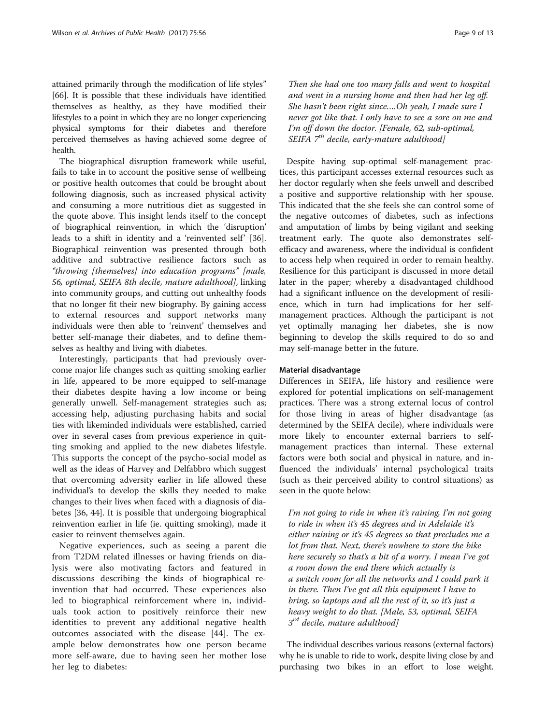attained primarily through the modification of life styles" [[66\]](#page-12-0). It is possible that these individuals have identified themselves as healthy, as they have modified their lifestyles to a point in which they are no longer experiencing physical symptoms for their diabetes and therefore perceived themselves as having achieved some degree of health.

The biographical disruption framework while useful, fails to take in to account the positive sense of wellbeing or positive health outcomes that could be brought about following diagnosis, such as increased physical activity and consuming a more nutritious diet as suggested in the quote above. This insight lends itself to the concept of biographical reinvention, in which the 'disruption' leads to a shift in identity and a 'reinvented self' [\[36](#page-12-0)]. Biographical reinvention was presented through both additive and subtractive resilience factors such as "throwing [themselves] into education programs" [male, 56, optimal, SEIFA 8th decile, mature adulthood], linking into community groups, and cutting out unhealthy foods that no longer fit their new biography. By gaining access to external resources and support networks many individuals were then able to 'reinvent' themselves and better self-manage their diabetes, and to define themselves as healthy and living with diabetes.

Interestingly, participants that had previously overcome major life changes such as quitting smoking earlier in life, appeared to be more equipped to self-manage their diabetes despite having a low income or being generally unwell. Self-management strategies such as; accessing help, adjusting purchasing habits and social ties with likeminded individuals were established, carried over in several cases from previous experience in quitting smoking and applied to the new diabetes lifestyle. This supports the concept of the psycho-social model as well as the ideas of Harvey and Delfabbro which suggest that overcoming adversity earlier in life allowed these individual's to develop the skills they needed to make changes to their lives when faced with a diagnosis of diabetes [[36, 44\]](#page-12-0). It is possible that undergoing biographical reinvention earlier in life (ie. quitting smoking), made it easier to reinvent themselves again.

Negative experiences, such as seeing a parent die from T2DM related illnesses or having friends on dialysis were also motivating factors and featured in discussions describing the kinds of biographical reinvention that had occurred. These experiences also led to biographical reinforcement where in, individuals took action to positively reinforce their new identities to prevent any additional negative health outcomes associated with the disease [\[44](#page-12-0)]. The example below demonstrates how one person became more self-aware, due to having seen her mother lose her leg to diabetes:

Then she had one too many falls and went to hospital and went in a nursing home and then had her leg off. She hasn't been right since….Oh yeah, I made sure I never got like that. I only have to see a sore on me and I'm off down the doctor. [Female, 62, sub-optimal, SEIFA  $7<sup>th</sup>$  decile, early-mature adulthood]

Despite having sup-optimal self-management practices, this participant accesses external resources such as her doctor regularly when she feels unwell and described a positive and supportive relationship with her spouse. This indicated that the she feels she can control some of the negative outcomes of diabetes, such as infections and amputation of limbs by being vigilant and seeking treatment early. The quote also demonstrates selfefficacy and awareness, where the individual is confident to access help when required in order to remain healthy. Resilience for this participant is discussed in more detail later in the paper; whereby a disadvantaged childhood had a significant influence on the development of resilience, which in turn had implications for her selfmanagement practices. Although the participant is not yet optimally managing her diabetes, she is now beginning to develop the skills required to do so and may self-manage better in the future.

## Material disadvantage

Differences in SEIFA, life history and resilience were explored for potential implications on self-management practices. There was a strong external locus of control for those living in areas of higher disadvantage (as determined by the SEIFA decile), where individuals were more likely to encounter external barriers to selfmanagement practices than internal. These external factors were both social and physical in nature, and influenced the individuals' internal psychological traits (such as their perceived ability to control situations) as seen in the quote below:

I'm not going to ride in when it's raining, I'm not going to ride in when it's 45 degrees and in Adelaide it's either raining or it's 45 degrees so that precludes me a lot from that. Next, there's nowhere to store the bike here securely so that's a bit of a worry. I mean I've got a room down the end there which actually is a switch room for all the networks and I could park it in there. Then I've got all this equipment I have to bring, so laptops and all the rest of it, so it's just a heavy weight to do that. [Male, 53, optimal, SEIFA  $3<sup>rd</sup>$  decile, mature adulthood]

The individual describes various reasons (external factors) why he is unable to ride to work, despite living close by and purchasing two bikes in an effort to lose weight.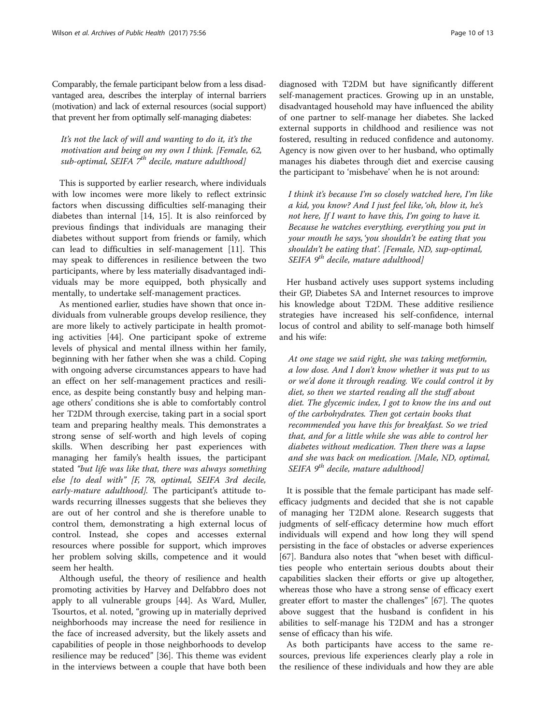Comparably, the female participant below from a less disadvantaged area, describes the interplay of internal barriers (motivation) and lack of external resources (social support) that prevent her from optimally self-managing diabetes:

# It's not the lack of will and wanting to do it, it's the motivation and being on my own I think. [Female, 62, sub-optimal, SEIFA  $\bar{z}^{th}$  decile, mature adulthood]

This is supported by earlier research, where individuals with low incomes were more likely to reflect extrinsic factors when discussing difficulties self-managing their diabetes than internal [\[14](#page-11-0), [15\]](#page-11-0). It is also reinforced by previous findings that individuals are managing their diabetes without support from friends or family, which can lead to difficulties in self-management [[11\]](#page-11-0). This may speak to differences in resilience between the two participants, where by less materially disadvantaged individuals may be more equipped, both physically and mentally, to undertake self-management practices.

As mentioned earlier, studies have shown that once individuals from vulnerable groups develop resilience, they are more likely to actively participate in health promoting activities [[44\]](#page-12-0). One participant spoke of extreme levels of physical and mental illness within her family, beginning with her father when she was a child. Coping with ongoing adverse circumstances appears to have had an effect on her self-management practices and resilience, as despite being constantly busy and helping manage others' conditions she is able to comfortably control her T2DM through exercise, taking part in a social sport team and preparing healthy meals. This demonstrates a strong sense of self-worth and high levels of coping skills. When describing her past experiences with managing her family's health issues, the participant stated "but life was like that, there was always something else [to deal with" [F, 78, optimal, SEIFA 3rd decile, early-mature adulthood]. The participant's attitude towards recurring illnesses suggests that she believes they are out of her control and she is therefore unable to control them, demonstrating a high external locus of control. Instead, she copes and accesses external resources where possible for support, which improves her problem solving skills, competence and it would seem her health.

Although useful, the theory of resilience and health promoting activities by Harvey and Delfabbro does not apply to all vulnerable groups [[44\]](#page-12-0). As Ward, Muller, Tsourtos, et al. noted, "growing up in materially deprived neighborhoods may increase the need for resilience in the face of increased adversity, but the likely assets and capabilities of people in those neighborhoods to develop resilience may be reduced" [[36\]](#page-12-0). This theme was evident in the interviews between a couple that have both been

diagnosed with T2DM but have significantly different self-management practices. Growing up in an unstable, disadvantaged household may have influenced the ability of one partner to self-manage her diabetes. She lacked external supports in childhood and resilience was not fostered, resulting in reduced confidence and autonomy. Agency is now given over to her husband, who optimally manages his diabetes through diet and exercise causing the participant to 'misbehave' when he is not around:

I think it's because I'm so closely watched here, I'm like a kid, you know? And I just feel like, 'oh, blow it, he's not here, If I want to have this, I'm going to have it. Because he watches everything, everything you put in your mouth he says, 'you shouldn't be eating that you shouldn't be eating that'. [Female, ND, sup-optimal, SEIFA  $9<sup>th</sup>$  decile, mature adulthood]

Her husband actively uses support systems including their GP, Diabetes SA and Internet resources to improve his knowledge about T2DM. These additive resilience strategies have increased his self-confidence, internal locus of control and ability to self-manage both himself and his wife:

At one stage we said right, she was taking metformin, a low dose. And I don't know whether it was put to us or we'd done it through reading. We could control it by diet, so then we started reading all the stuff about diet. The glycemic index, I got to know the ins and out of the carbohydrates. Then got certain books that recommended you have this for breakfast. So we tried that, and for a little while she was able to control her diabetes without medication. Then there was a lapse and she was back on medication. [Male, ND, optimal, SEIFA  $9^{th}$  decile, mature adulthood]

It is possible that the female participant has made selfefficacy judgments and decided that she is not capable of managing her T2DM alone. Research suggests that judgments of self-efficacy determine how much effort individuals will expend and how long they will spend persisting in the face of obstacles or adverse experiences [[67\]](#page-12-0). Bandura also notes that "when beset with difficulties people who entertain serious doubts about their capabilities slacken their efforts or give up altogether, whereas those who have a strong sense of efficacy exert greater effort to master the challenges" [\[67](#page-12-0)]. The quotes above suggest that the husband is confident in his abilities to self-manage his T2DM and has a stronger sense of efficacy than his wife.

As both participants have access to the same resources, previous life experiences clearly play a role in the resilience of these individuals and how they are able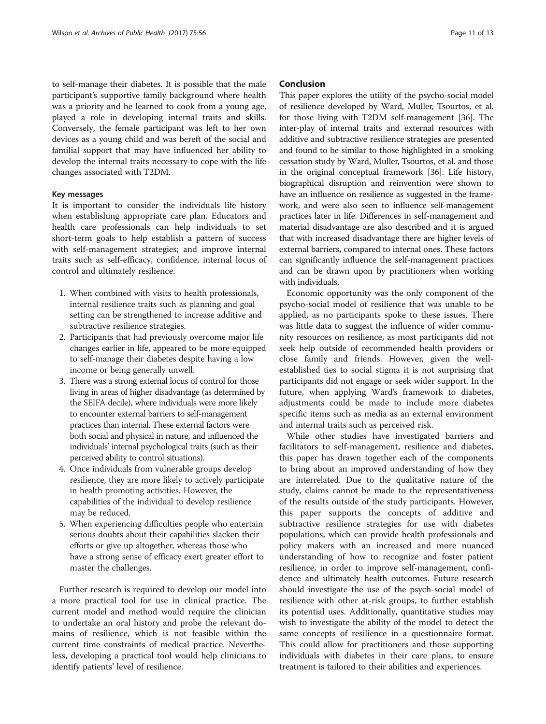to self-manage their diabetes. It is possible that the male participant's supportive family background where health was a priority and he learned to cook from a young age, played a role in developing internal traits and skills. Conversely, the female participant was left to her own devices as a young child and was bereft of the social and familial support that may have influenced her ability to develop the internal traits necessary to cope with the life changes associated with T2DM.

## Key messages

It is important to consider the individuals life history when establishing appropriate care plan. Educators and health care professionals can help individuals to set short-term goals to help establish a pattern of success with self-management strategies; and improve internal traits such as self-efficacy, confidence, internal locus of control and ultimately resilience.

- 1. When combined with visits to health professionals, internal resilience traits such as planning and goal setting can be strengthened to increase additive and subtractive resilience strategies.
- 2. Participants that had previously overcome major life changes earlier in life, appeared to be more equipped to self-manage their diabetes despite having a low income or being generally unwell.
- 3. There was a strong external locus of control for those living in areas of higher disadvantage (as determined by the SEIFA decile), where individuals were more likely to encounter external barriers to self-management practices than internal. These external factors were both social and physical in nature, and influenced the individuals' internal psychological traits (such as their perceived ability to control situations).
- 4. Once individuals from vulnerable groups develop resilience, they are more likely to actively participate in health promoting activities. However, the capabilities of the individual to develop resilience may be reduced.
- 5. When experiencing difficulties people who entertain serious doubts about their capabilities slacken their efforts or give up altogether, whereas those who have a strong sense of efficacy exert greater effort to master the challenges.

Further research is required to develop our model into a more practical tool for use in clinical practice. The current model and method would require the clinician to undertake an oral history and probe the relevant domains of resilience, which is not feasible within the current time constraints of medical practice. Nevertheless, developing a practical tool would help clinicians to identify patients' level of resilience.

## Conclusion

This paper explores the utility of the psycho-social model of resilience developed by Ward, Muller, Tsourtos, et al. for those living with T2DM self-management [\[36\]](#page-12-0). The inter-play of internal traits and external resources with additive and subtractive resilience strategies are presented and found to be similar to those highlighted in a smoking cessation study by Ward, Muller, Tsourtos, et al. and those in the original conceptual framework [[36](#page-12-0)]. Life history, biographical disruption and reinvention were shown to have an influence on resilience as suggested in the framework, and were also seen to influence self-management practices later in life. Differences in self-management and material disadvantage are also described and it is argued that with increased disadvantage there are higher levels of external barriers, compared to internal ones. These factors can significantly influence the self-management practices and can be drawn upon by practitioners when working with individuals.

Economic opportunity was the only component of the psycho-social model of resilience that was unable to be applied, as no participants spoke to these issues. There was little data to suggest the influence of wider community resources on resilience, as most participants did not seek help outside of recommended health providers or close family and friends. However, given the wellestablished ties to social stigma it is not surprising that participants did not engage or seek wider support. In the future, when applying Ward's framework to diabetes, adjustments could be made to include more diabetes specific items such as media as an external environment and internal traits such as perceived risk.

While other studies have investigated barriers and facilitators to self-management, resilience and diabetes, this paper has drawn together each of the components to bring about an improved understanding of how they are interrelated. Due to the qualitative nature of the study, claims cannot be made to the representativeness of the results outside of the study participants. However, this paper supports the concepts of additive and subtractive resilience strategies for use with diabetes populations; which can provide health professionals and policy makers with an increased and more nuanced understanding of how to recognize and foster patient resilience, in order to improve self-management, confidence and ultimately health outcomes. Future research should investigate the use of the psych-social model of resilience with other at-risk groups, to further establish its potential uses. Additionally, quantitative studies may wish to investigate the ability of the model to detect the same concepts of resilience in a questionnaire format. This could allow for practitioners and those supporting individuals with diabetes in their care plans, to ensure treatment is tailored to their abilities and experiences.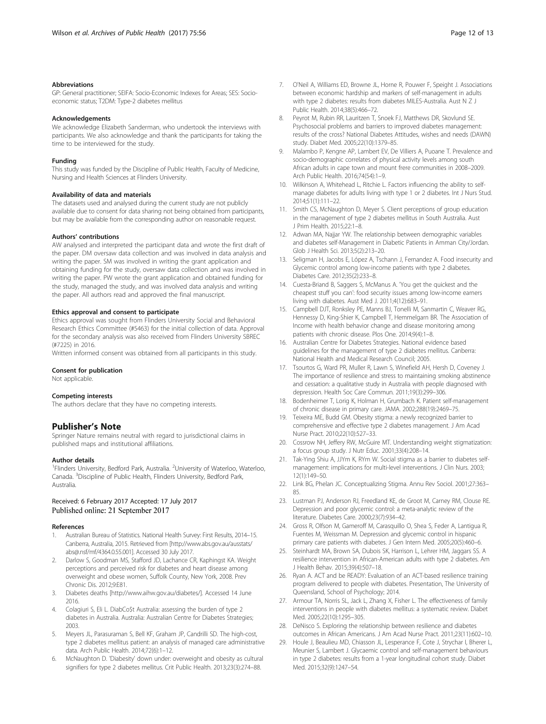#### <span id="page-11-0"></span>Abbreviations

GP: General practitioner; SEIFA: Socio-Economic Indexes for Areas; SES: Socioeconomic status; T2DM: Type-2 diabetes mellitus

#### Acknowledgements

We acknowledge Elizabeth Sanderman, who undertook the interviews with participants. We also acknowledge and thank the participants for taking the time to be interviewed for the study.

#### Funding

This study was funded by the Discipline of Public Health, Faculty of Medicine, Nursing and Health Sciences at Flinders University.

#### Availability of data and materials

The datasets used and analysed during the current study are not publicly available due to consent for data sharing not being obtained from participants, but may be available from the corresponding author on reasonable request.

#### Authors' contributions

AW analysed and interpreted the participant data and wrote the first draft of the paper. DM oversaw data collection and was involved in data analysis and writing the paper. SM was involved in writing the grant application and obtaining funding for the study, oversaw data collection and was involved in writing the paper. PW wrote the grant application and obtained funding for the study, managed the study, and was involved data analysis and writing the paper. All authors read and approved the final manuscript.

# Ethics approval and consent to participate

Ethics approval was sought from Flinders University Social and Behavioral Research Ethics Committee (#5463) for the initial collection of data. Approval for the secondary analysis was also received from Flinders University SBREC (#7225) in 2016.

Written informed consent was obtained from all participants in this study.

#### Consent for publication

Not applicable.

#### Competing interests

The authors declare that they have no competing interests.

#### Publisher's Note

Springer Nature remains neutral with regard to jurisdictional claims in published maps and institutional affiliations.

#### Author details

<sup>1</sup> Flinders University, Bedford Park, Australia. <sup>2</sup> University of Waterloo, Waterloo, Canada. <sup>3</sup>Discipline of Public Health, Flinders University, Bedford Park, Australia.

#### Received: 6 February 2017 Accepted: 17 July 2017 Published online: 21 September 2017

#### References

- 1. Australian Bureau of Statistics. National Health Survey: First Results, 2014–15. Canberra, Australia, 2015. Retrieved from [[http://www.abs.gov.au/ausstats/](http://www.abs.gov.au/ausstats/abs@.nsf/mf/4364.0.55.001) [abs@.nsf/mf/4364.0.55.001\]](http://www.abs.gov.au/ausstats/abs@.nsf/mf/4364.0.55.001). Accessed 30 July 2017.
- 2. Darlow S, Goodman MS, Stafford JD, Lachance CR, Kaphingst KA. Weight perceptions and perceived risk for diabetes and heart disease among overweight and obese women, Suffolk County, New York, 2008. Prev Chronic Dis. 2012;9:E81.
- Diabetes deaths [\[http://www.aihw.gov.au/diabetes/\]](http://www.aihw.gov.au/diabetes/). Accessed 14 June 2016.
- 4. Colagiuri S, Eli L. DiabCo\$t Australia: assessing the burden of type 2 diabetes in Australia. Australia: Australian Centre for Diabetes Strategies; 2003.
- 5. Meyers JL, Parasuraman S, Bell KF, Graham JP, Candrilli SD. The high-cost, type 2 diabetes mellitus patient: an analysis of managed care administrative data. Arch Public Health. 2014;72(6):1–12.
- 6. McNaughton D. 'Diabesity' down under: overweight and obesity as cultural signifiers for type 2 diabetes mellitus. Crit Public Health. 2013;23(3):274–88.
- 7. O'Neil A, Williams ED, Browne JL, Horne R, Pouwer F, Speight J. Associations between economic hardship and markers of self-management in adults with type 2 diabetes: results from diabetes MILES-Australia. Aust N Z J Public Health. 2014;38(5):466–72.
- 8. Peyrot M, Rubin RR, Lauritzen T, Snoek FJ, Matthews DR, Skovlund SE. Psychosocial problems and barriers to improved diabetes management: results of the cross? National Diabetes Attitudes, wishes and needs (DAWN) study. Diabet Med. 2005;22(10):1379–85.
- 9. Malambo P, Kengne AP, Lambert EV, De Villiers A, Puoane T. Prevalence and socio-demographic correlates of physical activity levels among south African adults in cape town and mount frere communities in 2008–2009. Arch Public Health. 2016;74(54):1–9.
- 10. Wilkinson A, Whitehead L, Ritchie L. Factors influencing the ability to selfmanage diabetes for adults living with type 1 or 2 diabetes. Int J Nurs Stud. 2014;51(1):111–22.
- 11. Smith CS, McNaughton D, Meyer S. Client perceptions of group education in the management of type 2 diabetes mellitus in South Australia. Aust J Prim Health. 2015;22:1–8.
- 12. Adwan MA, Najjar YW. The relationship between demographic variables and diabetes self-Management in Diabetic Patients in Amman City/Jordan. Glob J Health Sci. 2013;5(2):213–20.
- 13. Seligman H, Jacobs E, López A, Tschann J, Fernandez A. Food insecurity and Glycemic control among low-income patients with type 2 diabetes. Diabetes Care. 2012;35(2):233–8.
- 14. Cuesta-Briand B, Saggers S, McManus A. 'You get the quickest and the cheapest stuff you can': food security issues among low-income earners living with diabetes. Aust Med J. 2011;4(12):683–91.
- 15. Campbell DJT, Ronksley PE, Manns BJ, Tonelli M, Sanmartin C, Weaver RG, Hennessy D, King-Shier K, Campbell T, Hemmelgarn BR. The Association of Income with health behavior change and disease monitoring among patients with chronic disease. Plos One. 2014;9(4):1–8.
- 16. Australian Centre for Diabetes Strategies. National evidence based guidelines for the management of type 2 diabetes mellitus. Canberra: National Health and Medical Research Council; 2005.
- 17. Tsourtos G, Ward PR, Muller R, Lawn S, Winefield AH, Hersh D, Coveney J. The importance of resilience and stress to maintaining smoking abstinence and cessation: a qualitative study in Australia with people diagnosed with depression. Health Soc Care Commun. 2011;19(3):299–306.
- 18. Bodenheimer T, Lorig K, Holman H, Grumbach K. Patient self-management of chronic disease in primary care. JAMA. 2002;288(19):2469–75.
- 19. Teixeira ME, Budd GM. Obesity stigma: a newly recognized barrier to comprehensive and effective type 2 diabetes management. J Am Acad Nurse Pract. 2010;22(10):527–33.
- 20. Cossrow NH, Jeffery RW, McGuire MT. Understanding weight stigmatization: a focus group study. J Nutr Educ. 2001;33(4):208–14.
- 21. Tak-Ying Shiu A, JJYm K, RYm W. Social stigma as a barrier to diabetes selfmanagement: implications for multi-level interventions. J Clin Nurs. 2003; 12(1):149–50.
- 22. Link BG, Phelan JC. Conceptualizing Stigma. Annu Rev Sociol. 2001;27:363– 85.
- 23. Lustman PJ, Anderson RJ, Freedland KE, de Groot M, Carney RM, Clouse RE. Depression and poor glycemic control: a meta-analytic review of the literature. Diabetes Care. 2000;23(7):934–42.
- 24. Gross R, Olfson M, Gameroff M, Carasquillo O, Shea S, Feder A, Lantigua R, Fuentes M, Weissman M. Depression and glycemic control in hispanic primary care patients with diabetes. J Gen Intern Med. 2005;20(5):460–6.
- 25. Steinhardt MA, Brown SA, Dubois SK, Harrison L, Lehrer HM, Jaggars SS. A resilience intervention in African-American adults with type 2 diabetes. Am J Health Behav. 2015;39(4):507–18.
- 26. Ryan A. ACT and be READY: Evaluation of an ACT-based resilience training program delivered to people with diabetes. Presentation, The University of Queensland, School of Psychology; 2014.
- 27. Armour TA, Norris SL, Jack L, Zhang X, Fisher L. The effectiveness of family interventions in people with diabetes mellitus: a systematic review. Diabet Med. 2005;22(10):1295–305.
- 28. DeNisco S. Exploring the relationship between resilience and diabetes outcomes in African Americans. J Am Acad Nurse Pract. 2011;23(11):602–10.
- 29. Houle J, Beaulieu MD, Chiasson JL, Lesperance F, Cote J, Strychar I, Bherer L, Meunier S, Lambert J. Glycaemic control and self-management behaviours in type 2 diabetes: results from a 1-year longitudinal cohort study. Diabet Med. 2015;32(9):1247–54.